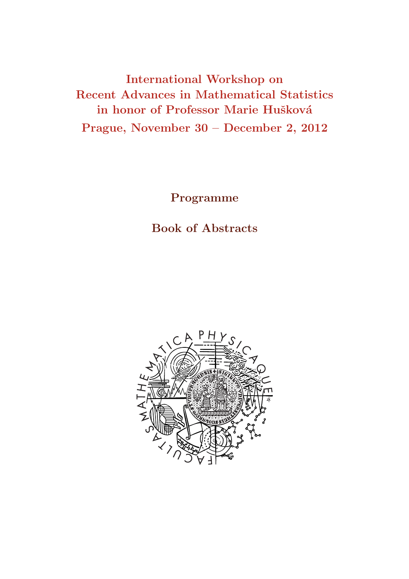International Workshop on Recent Advances in Mathematical Statistics in honor of Professor Marie Hušková Prague, November 30 – December 2, 2012

Programme

Book of Abstracts

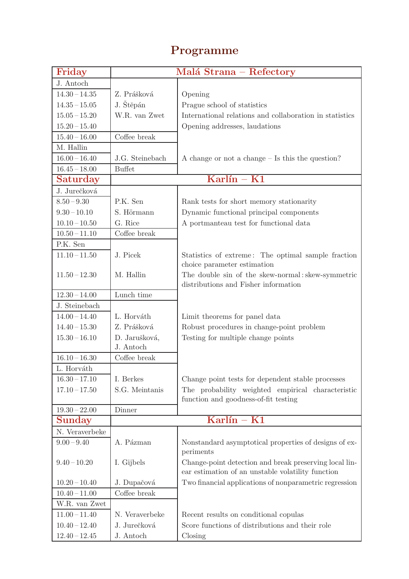# Programme

| Friday          |                 | Malá Strana - Refectory                                 |
|-----------------|-----------------|---------------------------------------------------------|
| J. Antoch       |                 |                                                         |
| $14.30 - 14.35$ | Z. Prášková     | Opening                                                 |
| $14.35 - 15.05$ | J. Štěpán       | Prague school of statistics                             |
| $15.05 - 15.20$ | W.R. van Zwet   | International relations and collaboration in statistics |
| $15.20 - 15.40$ |                 | Opening addresses, laudations                           |
| $15.40 - 16.00$ | Coffee break    |                                                         |
| M. Hallin       |                 |                                                         |
| $16.00 - 16.40$ | J.G. Steinebach | A change or not a change $-$ Is this the question?      |
| $16.45 - 18.00$ | <b>Buffet</b>   |                                                         |
| Saturday        |                 | $Karlín - K1$                                           |
| J. Jurečková    |                 |                                                         |
| $8.50 - 9.30$   | P.K. Sen        | Rank tests for short memory stationarity                |
| $9.30 - 10.10$  | S. Hörmann      | Dynamic functional principal components                 |
| $10.10 - 10.50$ | G. Rice         | A portmanteau test for functional data                  |
| $10.50 - 11.10$ | Coffee break    |                                                         |
| P.K. Sen        |                 |                                                         |
| $11.10 - 11.50$ | J. Picek        | Statistics of extreme: The optimal sample fraction      |
|                 |                 | choice parameter estimation                             |
| $11.50 - 12.30$ | M. Hallin       | The double sin of the skew-normal: skew-symmetric       |
|                 |                 | distributions and Fisher information                    |
| $12.30 - 14.00$ | Lunch time      |                                                         |
| J. Steinebach   |                 |                                                         |
| $14.00 - 14.40$ | L. Horváth      | Limit theorems for panel data                           |
| $14.40 - 15.30$ | Z. Prášková     | Robust procedures in change-point problem               |
| $15.30 - 16.10$ | D. Jarušková,   | Testing for multiple change points                      |
|                 | J. Antoch       |                                                         |
| $16.10 - 16.30$ | Coffee break    |                                                         |
| L. Horváth      |                 |                                                         |
| $16.30 - 17.10$ | I. Berkes       | Change point tests for dependent stable processes       |
| $17.10 - 17.50$ | S.G. Meintanis  | The probability weighted empirical characteristic       |
|                 |                 | function and goodness-of-fit testing                    |
| $19.30 - 22.00$ | Dinner          |                                                         |
| Sunday          |                 | $\overline{\text{Karlín}} - \overline{\text{K1}}$       |
| N. Veraverbeke  |                 |                                                         |
| $9.00 - 9.40$   | A. Pázman       | Nonstandard asymptotical properties of designs of ex-   |
|                 |                 | periments                                               |
| $9.40 - 10.20$  | I. Gijbels      | Change-point detection and break preserving local lin-  |
|                 |                 | ear estimation of an unstable volatility function       |
| $10.20 - 10.40$ | J. Dupačová     | Two financial applications of nonparametric regression  |
| $10.40 - 11.00$ | Coffee break    |                                                         |
| W.R. van Zwet   |                 |                                                         |
| $11.00 - 11.40$ | N. Veraverbeke  | Recent results on conditional copular                   |
| $10.40 - 12.40$ | J. Jurečková    | Score functions of distributions and their role         |
| $12.40 - 12.45$ | J. Antoch       | Closing                                                 |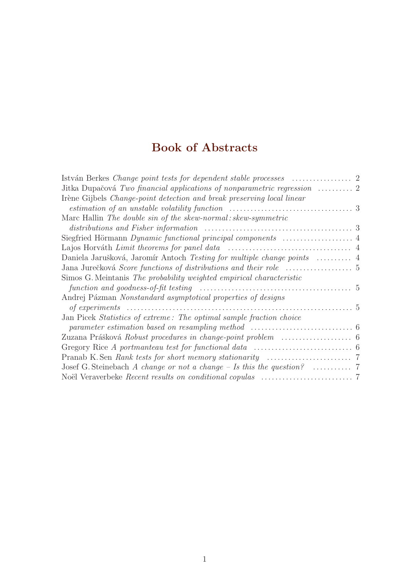# Book of Abstracts

| Jitka Dupačová Two financial applications of nonparametric regression $\ldots \ldots \ldots$ 2 |  |
|------------------------------------------------------------------------------------------------|--|
| Irène Gijbels Change-point detection and break preserving local linear                         |  |
|                                                                                                |  |
| Marc Hallin The double sin of the skew-normal: skew-symmetric                                  |  |
|                                                                                                |  |
|                                                                                                |  |
|                                                                                                |  |
|                                                                                                |  |
|                                                                                                |  |
| Simos G. Meintanis The probability weighted empirical characteristic                           |  |
|                                                                                                |  |
| Andrej Pázman Nonstandard asymptotical properties of designs                                   |  |
|                                                                                                |  |
| Jan Picek Statistics of extreme: The optimal sample fraction choice                            |  |
|                                                                                                |  |
|                                                                                                |  |
|                                                                                                |  |
|                                                                                                |  |
|                                                                                                |  |
|                                                                                                |  |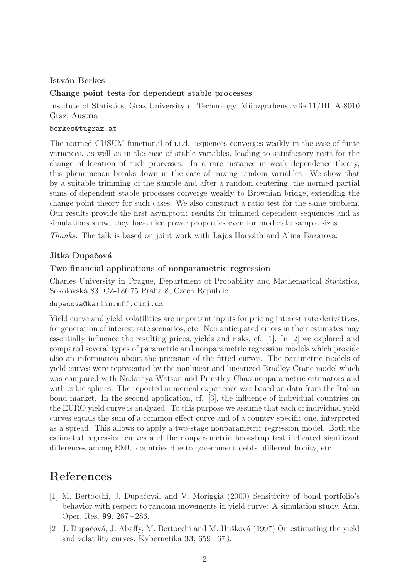#### István Berkes

#### Change point tests for dependent stable processes

Institute of Statistics, Graz University of Technology, Münzgrabenstraße 11/III, A-8010 Graz, Austria

#### berkes@tugraz.at

The normed CUSUM functional of i.i.d. sequences converges weakly in the case of finite variances, as well as in the case of stable variables, leading to satisfactory tests for the change of location of such processes. In a rare instance in weak dependence theory, this phenomenon breaks down in the case of mixing random variables. We show that by a suitable trimming of the sample and after a random centering, the normed partial sums of dependent stable processes converge weakly to Brownian bridge, extending the change point theory for such cases. We also construct a ratio test for the same problem. Our results provide the first asymptotic results for trimmed dependent sequences and as simulations show, they have nice power properties even for moderate sample sizes.

Thanks: The talk is based on joint work with Lajos Horváth and Alina Bazarova.

#### Jitka Dupačová

#### Two financial applications of nonparametric regression

Charles University in Prague, Department of Probability and Mathematical Statistics, Sokolovsk´a 83, CZ-186 75 Praha 8, Czech Republic

#### dupacova@karlin.mff.cuni.cz

Yield curve and yield volatilities are important inputs for pricing interest rate derivatives, for generation of interest rate scenarios, etc. Non anticipated errors in their estimates may essentially influence the resulting prices, yields and risks, cf. [1]. In [2] we explored and compared several types of parametric and nonparametric regression models which provide also an information about the precision of the fitted curves. The parametric models of yield curves were represented by the nonlinear and linearized Bradley-Crane model which was compared with Nadaraya-Watson and Priestley-Chao nonparametric estimators and with cubic splines. The reported numerical experience was based on data from the Italian bond market. In the second application, cf. [3], the influence of individual countries on the EURO yield curve is analyzed. To this purpose we assume that each of individual yield curves equals the sum of a common effect curve and of a country specific one, interpreted as a spread. This allows to apply a two-stage nonparametric regression model. Both the estimated regression curves and the nonparametric bootstrap test indicated significant differences among EMU countries due to government debts, different bonity, etc.

# References

- [1] M. Bertocchi, J. Dupačová, and V. Moriggia (2000) Sensitivity of bond portfolio's behavior with respect to random movements in yield curve: A simulation study. Ann. Oper. Res. 99, 267 – 286.
- [2] J. Dupačová, J. Abaffy, M. Bertocchi and M. Hušková (1997) On estimating the yield and volatility curves. Kybernetika 33, 659 – 673.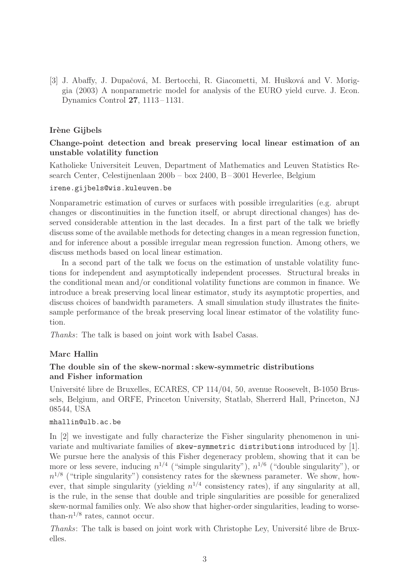[3] J. Abaffy, J. Dupačová, M. Bertocchi, R. Giacometti, M. Hušková and V. Moriggia (2003) A nonparametric model for analysis of the EURO yield curve. J. Econ. Dynamics Control 27, 1113 – 1131.

#### Irène Gijbels

#### Change-point detection and break preserving local linear estimation of an unstable volatility function

Katholieke Universiteit Leuven, Department of Mathematics and Leuven Statistics Research Center, Celestijnenlaan 200b – box 2400, B – 3001 Heverlee, Belgium

#### irene.gijbels@wis.kuleuven.be

Nonparametric estimation of curves or surfaces with possible irregularities (e.g. abrupt changes or discontinuities in the function itself, or abrupt directional changes) has deserved considerable attention in the last decades. In a first part of the talk we briefly discuss some of the available methods for detecting changes in a mean regression function, and for inference about a possible irregular mean regression function. Among others, we discuss methods based on local linear estimation.

In a second part of the talk we focus on the estimation of unstable volatility functions for independent and asymptotically independent processes. Structural breaks in the conditional mean and/or conditional volatility functions are common in finance. We introduce a break preserving local linear estimator, study its asymptotic properties, and discuss choices of bandwidth parameters. A small simulation study illustrates the finitesample performance of the break preserving local linear estimator of the volatility function.

Thanks: The talk is based on joint work with Isabel Casas.

#### Marc Hallin

#### The double sin of the skew-normal : skew-symmetric distributions and Fisher information

Université libre de Bruxelles, ECARES, CP 114/04, 50, avenue Roosevelt, B-1050 Brussels, Belgium, and ORFE, Princeton University, Statlab, Sherrerd Hall, Princeton, NJ 08544, USA

#### mhallin@ulb.ac.be

In [2] we investigate and fully characterize the Fisher singularity phenomenon in univariate and multivariate families of skew-symmetric distributions introduced by [1]. We pursue here the analysis of this Fisher degeneracy problem, showing that it can be more or less severe, inducing  $n^{1/4}$  ("simple singularity"),  $n^{1/6}$  ("double singularity"), or  $n^{1/8}$  ("triple singularity") consistency rates for the skewness parameter. We show, however, that simple singularity (yielding  $n^{1/4}$  consistency rates), if any singularity at all, is the rule, in the sense that double and triple singularities are possible for generalized skew-normal families only. We also show that higher-order singularities, leading to worsethan- $n^{1/8}$  rates, cannot occur.

Thanks: The talk is based on joint work with Christophe Ley, Université libre de Bruxelles.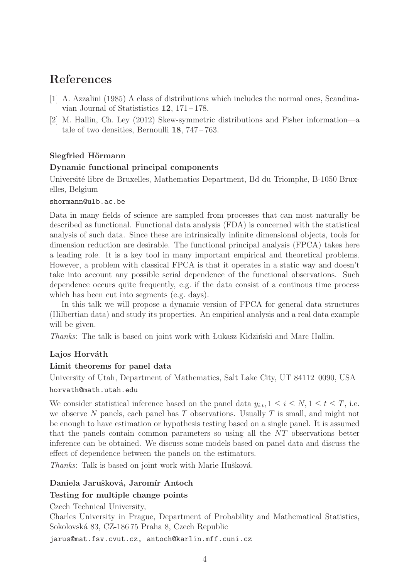# References

- [1] A. Azzalini (1985) A class of distributions which includes the normal ones, Scandinavian Journal of Statistics  $12$ ,  $171-178$ .
- [2] M. Hallin, Ch. Ley (2012) Skew-symmetric distributions and Fisher information—a tale of two densities, Bernoulli 18, 747 – 763.

# Siegfried Hörmann

## Dynamic functional principal components

Université libre de Bruxelles, Mathematics Department, Bd du Triomphe, B-1050 Bruxelles, Belgium

#### shormann@ulb.ac.be

Data in many fields of science are sampled from processes that can most naturally be described as functional. Functional data analysis (FDA) is concerned with the statistical analysis of such data. Since these are intrinsically infinite dimensional objects, tools for dimension reduction are desirable. The functional principal analysis (FPCA) takes here a leading role. It is a key tool in many important empirical and theoretical problems. However, a problem with classical FPCA is that it operates in a static way and doesn't take into account any possible serial dependence of the functional observations. Such dependence occurs quite frequently, e.g. if the data consist of a continous time process which has been cut into segments (e.g. days).

In this talk we will propose a dynamic version of FPCA for general data structures (Hilbertian data) and study its properties. An empirical analysis and a real data example will be given.

Thanks: The talk is based on joint work with Lukasz Kidziński and Marc Hallin.

#### Lajos Horváth

#### Limit theorems for panel data

University of Utah, Department of Mathematics, Salt Lake City, UT 84112–0090, USA horvath@math.utah.edu

We consider statistical inference based on the panel data  $y_{i,t}$ ,  $1 \leq i \leq N$ ,  $1 \leq t \leq T$ , i.e. we observe  $N$  panels, each panel has  $T$  observations. Usually  $T$  is small, and might not be enough to have estimation or hypothesis testing based on a single panel. It is assumed that the panels contain common parameters so using all the NT observations better inference can be obtained. We discuss some models based on panel data and discuss the effect of dependence between the panels on the estimators.

*Thanks*: Talk is based on joint work with Marie Hušková.

# Daniela Jarušková, Jaromír Antoch

# Testing for multiple change points

Czech Technical University,

Charles University in Prague, Department of Probability and Mathematical Statistics, Sokolovsk´a 83, CZ-186 75 Praha 8, Czech Republic

jarus@mat.fsv.cvut.cz, antoch@karlin.mff.cuni.cz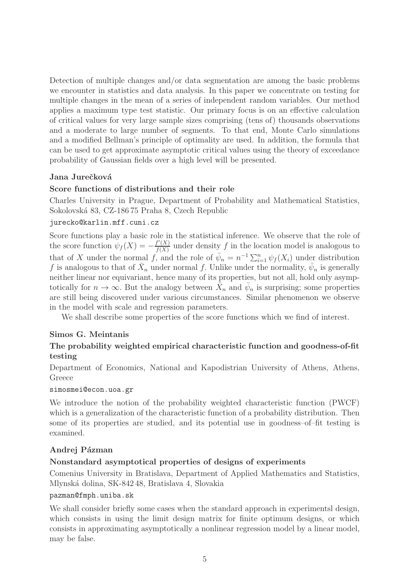Detection of multiple changes and/or data segmentation are among the basic problems we encounter in statistics and data analysis. In this paper we concentrate on testing for multiple changes in the mean of a series of independent random variables. Our method applies a maximum type test statistic. Our primary focus is on an effective calculation of critical values for very large sample sizes comprising (tens of) thousands observations and a moderate to large number of segments. To that end, Monte Carlo simulations and a modified Bellman's principle of optimality are used. In addition, the formula that can be used to get approximate asymptotic critical values using the theory of exceedance probability of Gaussian fields over a high level will be presented.

## Jana Jurečková

#### Score functions of distributions and their role

Charles University in Prague, Department of Probability and Mathematical Statistics, Sokolovsk´a 83, CZ-186 75 Praha 8, Czech Republic

#### jurecko@karlin.mff.cuni.cz

Score functions play a basic role in the statistical inference. We observe that the role of the score function  $\psi_f(X) = -\frac{f'(X)}{f(X)}$  $\frac{f'(X)}{f(X)}$  under density f in the location model is analogous to that of X under the normal f, and the role of  $\bar{\psi}_n = n^{-1} \sum_{i=1}^n \psi_f(X_i)$  under distribution f is analogous to that of  $\bar{X}_n$  under normal f. Unlike under the normality,  $\bar{\psi}_n$  is generally neither linear nor equivariant, hence many of its properties, but not all, hold only asymptotically for  $n \to \infty$ . But the analogy between  $\bar{X}_n$  and  $\bar{\psi}_n$  is surprising; some properties are still being discovered under various circumstances. Similar phenomenon we observe in the model with scale and regression parameters.

We shall describe some properties of the score functions which we find of interest.

#### Simos G. Meintanis

# The probability weighted empirical characteristic function and goodness-of-fit testing

Department of Economics, National and Kapodistrian University of Athens, Athens, Greece

#### simosmei@econ.uoa.gr

We introduce the notion of the probability weighted characteristic function (PWCF) which is a generalization of the characteristic function of a probability distribution. Then some of its properties are studied, and its potential use in goodness–of–fit testing is examined.

#### Andrej Pázman

#### Nonstandard asymptotical properties of designs of experiments

Comenius University in Bratislava, Department of Applied Mathematics and Statistics, Mlynsk´a dolina, SK-842 48, Bratislava 4, Slovakia

#### pazman@fmph.uniba.sk

We shall consider briefly some cases when the standard approach in experimentsl design, which consists in using the limit design matrix for finite optimum designs, or which consists in approximating asymptotically a nonlinear regression model by a linear model, may be false.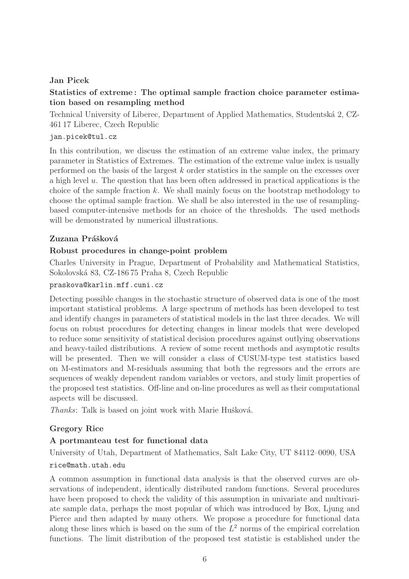# Jan Picek

# Statistics of extreme : The optimal sample fraction choice parameter estimation based on resampling method

Technical University of Liberec, Department of Applied Mathematics, Studentsk´a 2, CZ-461 17 Liberec, Czech Republic

# jan.picek@tul.cz

In this contribution, we discuss the estimation of an extreme value index, the primary parameter in Statistics of Extremes. The estimation of the extreme value index is usually performed on the basis of the largest k order statistics in the sample on the excesses over a high level  $u$ . The question that has been often addressed in practical applications is the choice of the sample fraction  $k$ . We shall mainly focus on the bootstrap methodology to choose the optimal sample fraction. We shall be also interested in the use of resamplingbased computer-intensive methods for an choice of the thresholds. The used methods will be demonstrated by numerical illustrations.

# Zuzana Prášková

## Robust procedures in change-point problem

Charles University in Prague, Department of Probability and Mathematical Statistics, Sokolovsk´a 83, CZ-186 75 Praha 8, Czech Republic

#### praskova@karlin.mff.cuni.cz

Detecting possible changes in the stochastic structure of observed data is one of the most important statistical problems. A large spectrum of methods has been developed to test and identify changes in parameters of statistical models in the last three decades. We will focus on robust procedures for detecting changes in linear models that were developed to reduce some sensitivity of statistical decision procedures against outlying observations and heavy-tailed distributions. A review of some recent methods and asymptotic results will be presented. Then we will consider a class of CUSUM-type test statistics based on M-estimators and M-residuals assuming that both the regressors and the errors are sequences of weakly dependent random variables or vectors, and study limit properties of the proposed test statistics. Off-line and on-line procedures as well as their computational aspects will be discussed.

Thanks: Talk is based on joint work with Marie Hušková.

# Gregory Rice

# A portmanteau test for functional data

University of Utah, Department of Mathematics, Salt Lake City, UT 84112–0090, USA rice@math.utah.edu

A common assumption in functional data analysis is that the observed curves are observations of independent, identically distributed random functions. Several procedures have been proposed to check the validity of this assumption in univariate and multivariate sample data, perhaps the most popular of which was introduced by Box, Ljung and Pierce and then adapted by many others. We propose a procedure for functional data along these lines which is based on the sum of the  $L^2$  norms of the empirical correlation functions. The limit distribution of the proposed test statistic is established under the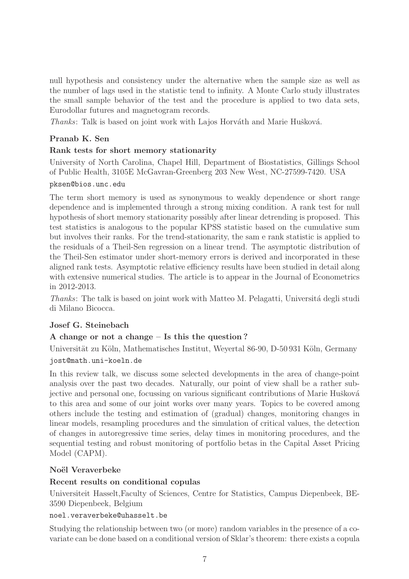null hypothesis and consistency under the alternative when the sample size as well as the number of lags used in the statistic tend to infinity. A Monte Carlo study illustrates the small sample behavior of the test and the procedure is applied to two data sets, Eurodollar futures and magnetogram records.

Thanks: Talk is based on joint work with Lajos Horváth and Marie Hušková.

## Pranab K. Sen

## Rank tests for short memory stationarity

University of North Carolina, Chapel Hill, Department of Biostatistics, Gillings School of Public Health, 3105E McGavran-Greenberg 203 New West, NC-27599-7420. USA

#### pksen@bios.unc.edu

The term short memory is used as synonymous to weakly dependence or short range dependence and is implemented through a strong mixing condition. A rank test for null hypothesis of short memory stationarity possibly after linear detrending is proposed. This test statistics is analogous to the popular KPSS statistic based on the cumulative sum but involves their ranks. For the trend-stationarity, the sam e rank statistic is applied to the residuals of a Theil-Sen regression on a linear trend. The asymptotic distribution of the Theil-Sen estimator under short-memory errors is derived and incorporated in these aligned rank tests. Asymptotic relative efficiency results have been studied in detail along with extensive numerical studies. The article is to appear in the Journal of Econometrics in 2012-2013.

Thanks: The talk is based on joint work with Matteo M. Pelagatti, Università degli studi di Milano Bicocca.

#### Josef G. Steinebach

# A change or not a change – Is this the question ?

Universität zu Köln, Mathematisches Institut, Weyertal 86-90, D-50 931 Köln, Germany jost@math.uni-koeln.de

In this review talk, we discuss some selected developments in the area of change-point analysis over the past two decades. Naturally, our point of view shall be a rather subjective and personal one, focussing on various significant contributions of Marie Hušková to this area and some of our joint works over many years. Topics to be covered among others include the testing and estimation of (gradual) changes, monitoring changes in linear models, resampling procedures and the simulation of critical values, the detection of changes in autoregressive time series, delay times in monitoring procedures, and the sequential testing and robust monitoring of portfolio betas in the Capital Asset Pricing Model (CAPM).

#### Noël Veraverbeke

#### Recent results on conditional copulas

Universiteit Hasselt,Faculty of Sciences, Centre for Statistics, Campus Diepenbeek, BE-3590 Diepenbeek, Belgium

#### noel.veraverbeke@uhasselt.be

Studying the relationship between two (or more) random variables in the presence of a covariate can be done based on a conditional version of Sklar's theorem: there exists a copula